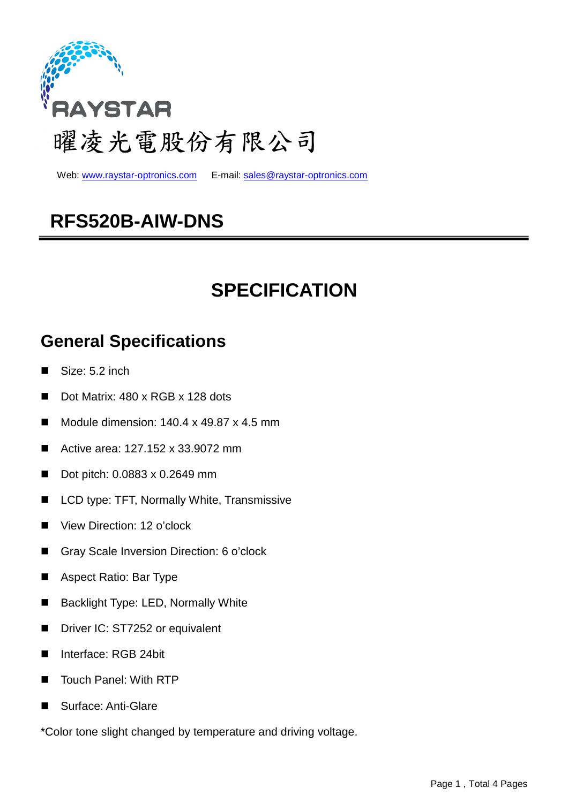

Web: www.raystar-optronics.com E-mail: sales@raystar-optronics.com

## **RFS520B-AIW-DNS**

## **SPECIFICATION**

#### **General Specifications**

- Size: 5.2 inch
- Dot Matrix: 480 x RGB x 128 dots
- Module dimension: 140.4 x 49.87 x 4.5 mm
- Active area: 127.152 x 33.9072 mm
- Dot pitch: 0.0883 x 0.2649 mm
- LCD type: TFT, Normally White, Transmissive
- View Direction: 12 o'clock
- Gray Scale Inversion Direction: 6 o'clock
- Aspect Ratio: Bar Type
- **Backlight Type: LED, Normally White**
- Driver IC: ST7252 or equivalent
- Interface: RGB 24bit
- Touch Panel: With RTP
- Surface: Anti-Glare

\*Color tone slight changed by temperature and driving voltage.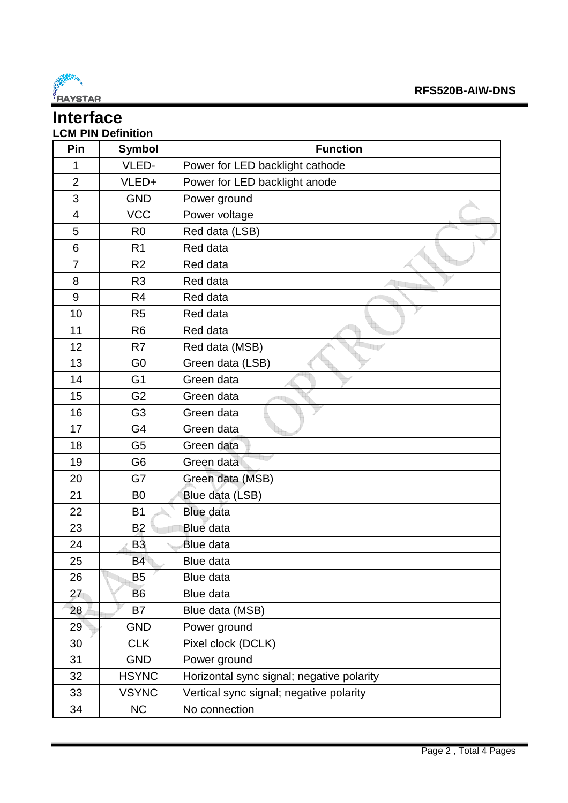

#### **Interface LCM PIN Definition**

| Pin            | <b>Symbol</b>  | <b>Function</b>                           |
|----------------|----------------|-------------------------------------------|
| 1              | VLED-          | Power for LED backlight cathode           |
| $\overline{2}$ | VLED+          | Power for LED backlight anode             |
| 3              | <b>GND</b>     | Power ground                              |
| 4              | <b>VCC</b>     | Power voltage                             |
| 5              | R <sub>0</sub> | Red data (LSB)                            |
| 6              | R <sub>1</sub> | Red data                                  |
| $\overline{7}$ | R <sub>2</sub> | Red data                                  |
| 8              | R <sub>3</sub> | Red data                                  |
| 9              | R <sub>4</sub> | Red data                                  |
| 10             | R <sub>5</sub> | Red data                                  |
| 11             | R <sub>6</sub> | Red data                                  |
| 12             | R7             | Red data (MSB)                            |
| 13             | G <sub>0</sub> | Green data (LSB)                          |
| 14             | G <sub>1</sub> | Green data                                |
| 15             | G <sub>2</sub> | Green data                                |
| 16             | G <sub>3</sub> | Green data                                |
| 17             | G4             | Green data                                |
| 18             | G <sub>5</sub> | Green data                                |
| 19             | G <sub>6</sub> | Green data                                |
| 20             | G7             | Green data (MSB)                          |
| 21             | B <sub>0</sub> | Blue data (LSB)                           |
| 22             | <b>B1</b>      | <b>Blue data</b>                          |
| 23             | B <sub>2</sub> | Blue data                                 |
| 24             | B <sub>3</sub> | Blue data                                 |
| 25             | <b>B4</b>      | Blue data                                 |
| 26             | <b>B5</b>      | Blue data                                 |
| 27             | <b>B6</b>      | Blue data                                 |
| 28             | B7             | Blue data (MSB)                           |
| 29             | <b>GND</b>     | Power ground                              |
| 30             | <b>CLK</b>     | Pixel clock (DCLK)                        |
| 31             | <b>GND</b>     | Power ground                              |
| 32             | <b>HSYNC</b>   | Horizontal sync signal; negative polarity |
| 33             | <b>VSYNC</b>   | Vertical sync signal; negative polarity   |
| 34             | NC             | No connection                             |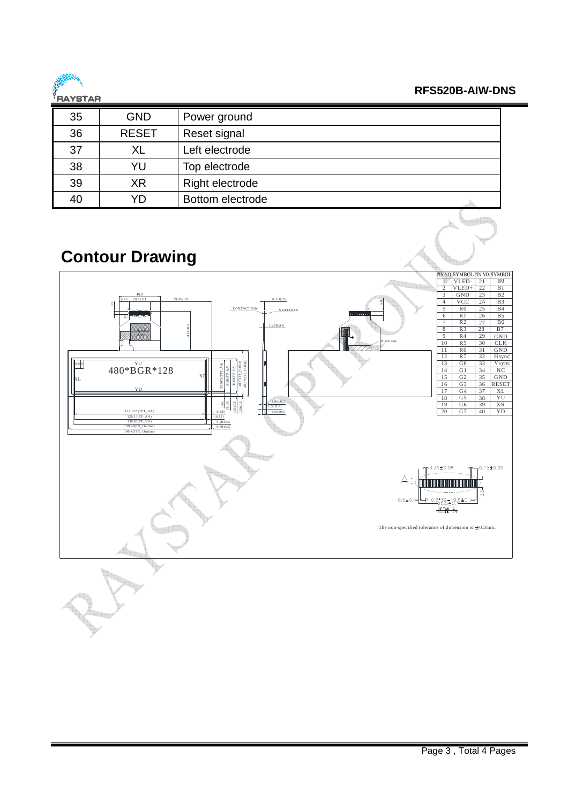

**RFS520B-AIW-DNS** 

an Di

| 35 | <b>GND</b>   | Power ground     |
|----|--------------|------------------|
| 36 | <b>RESET</b> | Reset signal     |
| 37 | XL           | Left electrode   |
| 38 | YU           | Top electrode    |
| 39 | XR           | Right electrode  |
| 40 | YD           | Bottom electrode |

### **Contour Drawing**